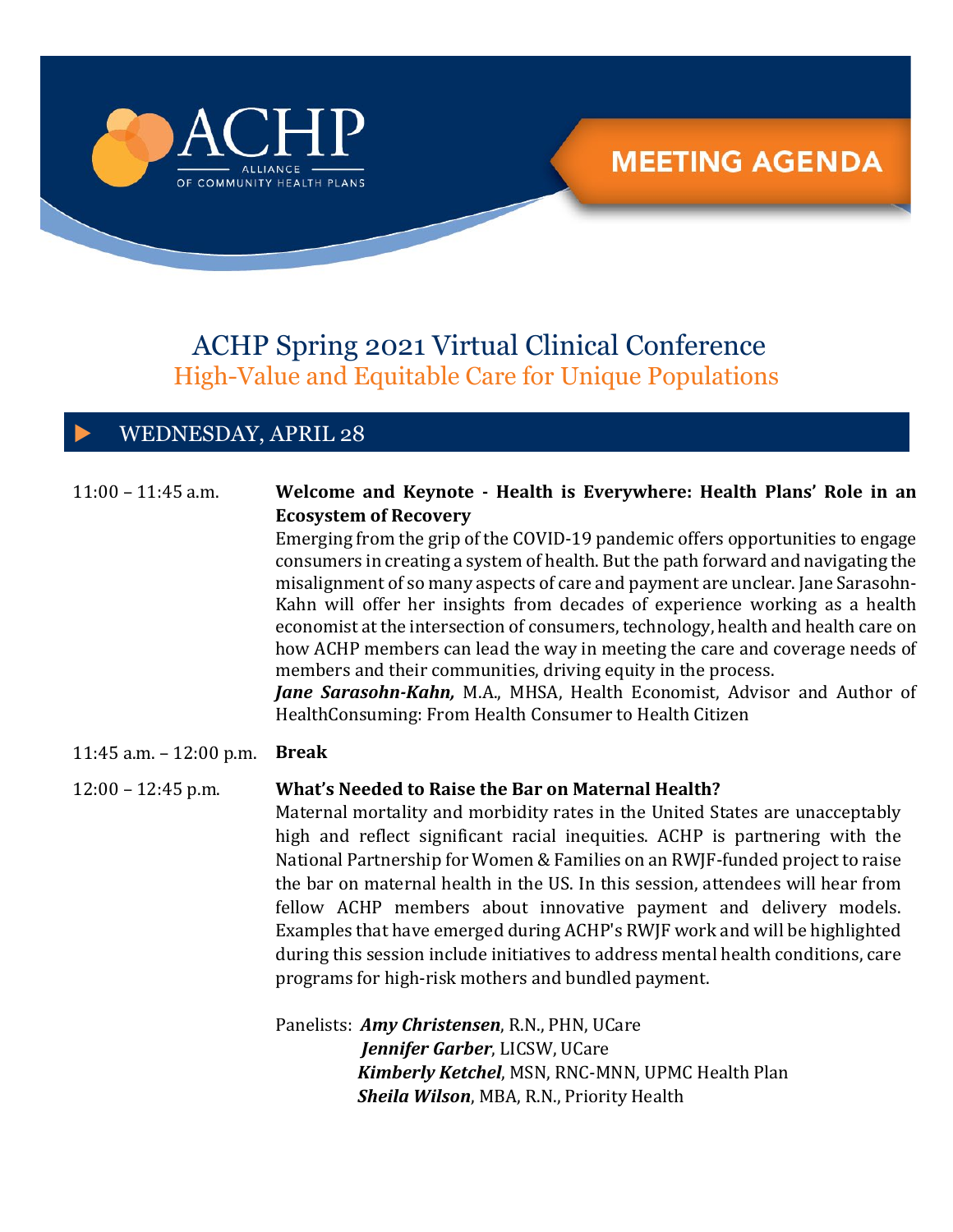

# **MEETING AGENDA**

## ACHP Spring 2021 Virtual Clinical Conference High-Value and Equitable Care for Unique Populations

## WEDNESDAY, APRIL 28

#### $11:00 - 11:45$  a.m. **Welcome and Keynote - Health is Everywhere: Health Plans' Role in an Ecosystem of Recovery**

Emerging from the grip of the COVID-19 pandemic offers opportunities to engage consumers in creating a system of health. But the path forward and navigating the misalignment of so many aspects of care and payment are unclear. Jane Sarasohn-Kahn will offer her insights from decades of experience working as a health economist at the intersection of consumers, technology, health and health care on how ACHP members can lead the way in meeting the care and coverage needs of members and their communities, driving equity in the process.

*Jane Sarasohn-Kahn,* M.A., MHSA, Health Economist, Advisor and Author of HealthConsuming: From Health Consumer to Health Citizen

11:45 a.m. – 12:00 p.m. **Break**

### 12:00 – 12:45 p.m. **What's Needed to Raise the Bar on Maternal Health?**

Maternal mortality and morbidity rates in the United States are unacceptably high and reflect significant racial inequities. ACHP is partnering with the National Partnership for Women & Families on an RWJF-funded project to raise the bar on maternal health in the US. In this session, attendees will hear from fellow ACHP members about innovative payment and delivery models. Examples that have emerged during ACHP's RWJF work and will be highlighted during this session include initiatives to address mental health conditions, care programs for high-risk mothers and bundled payment.

Panelists: *Amy Christensen*, R.N., PHN, UCare  *Jennifer Garber*, LICSW, UCare *Kimberly Ketchel*, MSN, RNC-MNN, UPMC Health Plan *Sheila Wilson*, MBA, R.N., Priority Health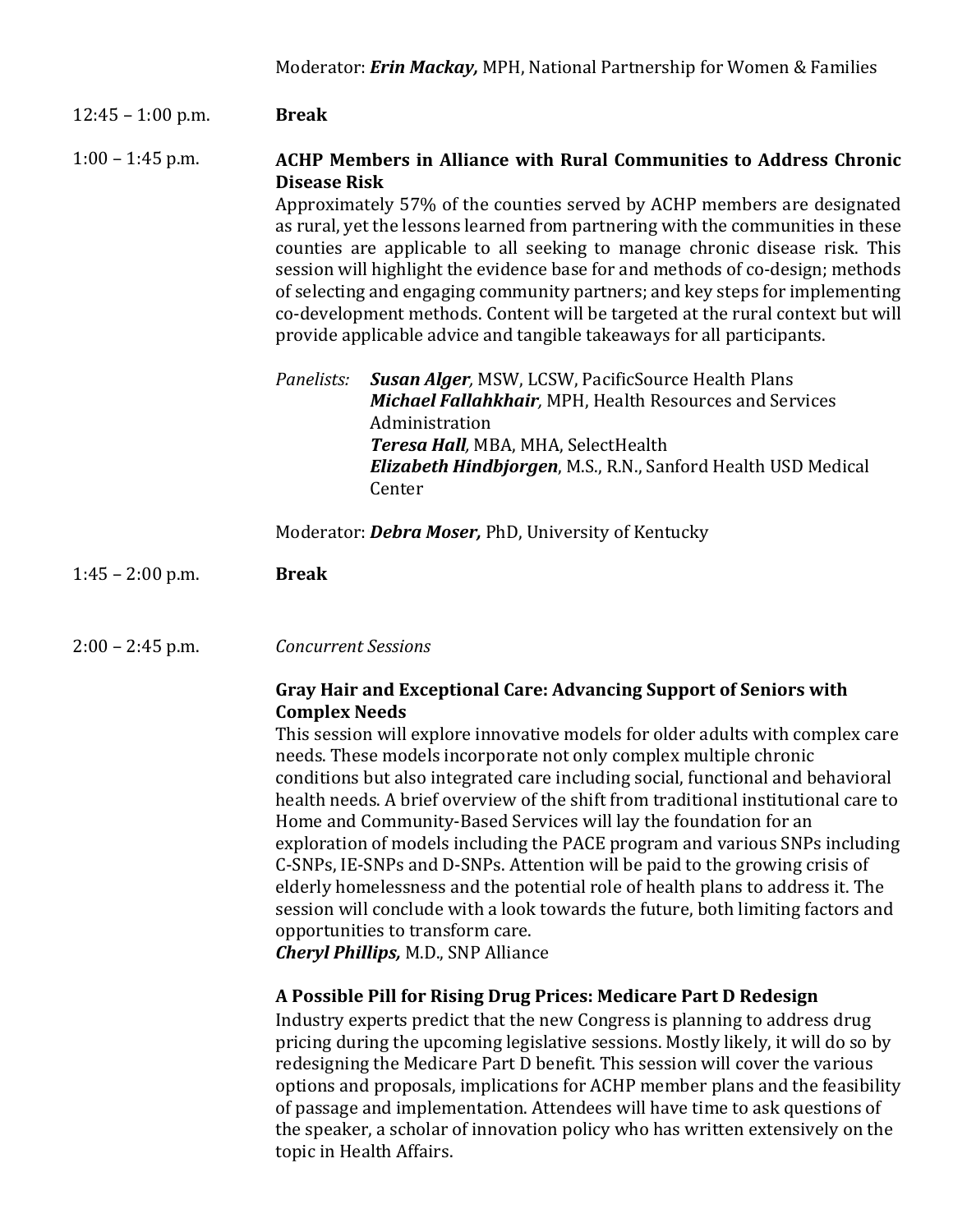#### 12:45 – 1:00 p.m. **Break**

#### 1:00 – 1:45 p.m. **ACHP Members in Alliance with Rural Communities to Address Chronic Disease Risk**

Approximately 57% of the counties served by ACHP members are designated as rural, yet the lessons learned from partnering with the communities in these counties are applicable to all seeking to manage chronic disease risk. This session will highlight the evidence base for and methods of co-design; methods of selecting and engaging community partners; and key steps for implementing co-development methods. Content will be targeted at the rural context but will provide applicable advice and tangible takeaways for all participants.

- *Panelists: Susan Alger,* MSW, LCSW, PacificSource Health Plans  *Michael Fallahkhair,* MPH, Health Resources and Services Administration  *Teresa Hall,* MBA, MHA, SelectHealth  *Elizabeth Hindbjorgen*, M.S., R.N., Sanford Health USD Medical Center
- Moderator: *Debra Moser,* PhD, University of Kentucky

#### $1:45 - 2:00$  p.m. **Break**

2:00 – 2:45 p.m. *Concurrent Sessions*

### **Gray Hair and Exceptional Care: Advancing Support of Seniors with Complex Needs**

This session will explore innovative models for older adults with complex care needs. These models incorporate not only complex multiple chronic conditions but also integrated care including social, functional and behavioral health needs. A brief overview of the shift from traditional institutional care to Home and Community-Based Services will lay the foundation for an exploration of models including the PACE program and various SNPs including C-SNPs, IE-SNPs and D-SNPs. Attention will be paid to the growing crisis of elderly homelessness and the potential role of health plans to address it. The session will conclude with a look towards the future, both limiting factors and opportunities to transform care.

*Cheryl Phillips,* M.D., SNP Alliance

## **A Possible Pill for Rising Drug Prices: Medicare Part D Redesign**

Industry experts predict that the new Congress is planning to address drug pricing during the upcoming legislative sessions. Mostly likely, it will do so by redesigning the Medicare Part D benefit. This session will cover the various options and proposals, implications for ACHP member plans and the feasibility of passage and implementation. Attendees will have time to ask questions of the speaker, a scholar of innovation policy who has written extensively on the topic in Health Affairs.